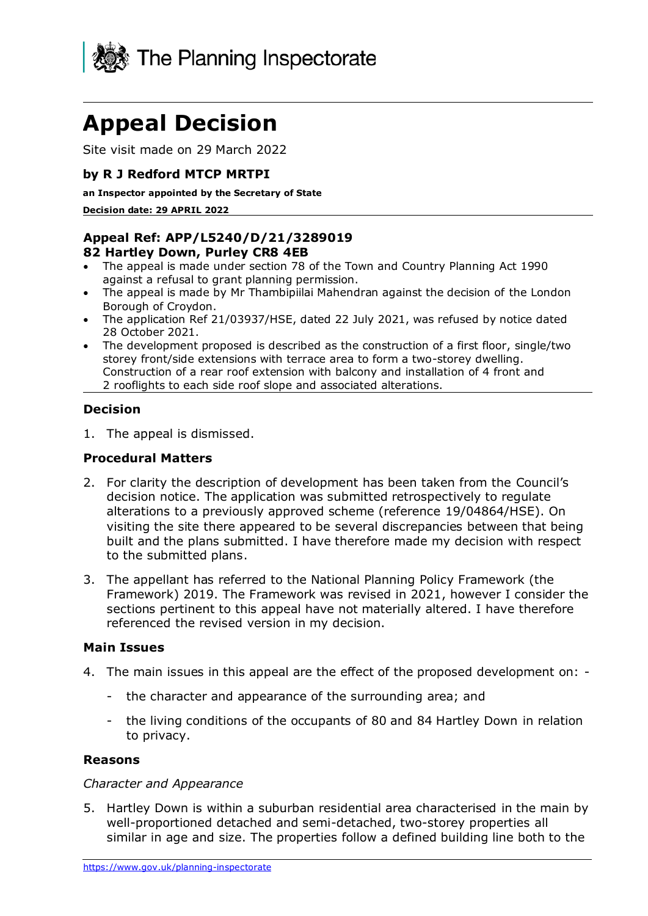

# **Appeal Decision**

Site visit made on 29 March 2022

### **by R J Redford MTCP MRTPI**

**an Inspector appointed by the Secretary of State** 

**Decision date: 29 APRIL 2022**

# **Appeal Ref: APP/L5240/D/21/3289019**

#### **82 Hartley Down, Purley CR8 4EB**

- The appeal is made under section 78 of the Town and Country Planning Act 1990 against a refusal to grant planning permission.
- The appeal is made by Mr Thambipiilai Mahendran against the decision of the London Borough of Croydon.
- The application Ref 21/03937/HSE, dated 22 July 2021, was refused by notice dated 28 October 2021.
- The development proposed is described as the construction of a first floor, single/two storey front/side extensions with terrace area to form a two-storey dwelling. Construction of a rear roof extension with balcony and installation of 4 front and 2 rooflights to each side roof slope and associated alterations.

#### **Decision**

1. The appeal is dismissed.

#### **Procedural Matters**

- 2. For clarity the description of development has been taken from the Council's decision notice. The application was submitted retrospectively to regulate alterations to a previously approved scheme (reference 19/04864/HSE). On visiting the site there appeared to be several discrepancies between that being built and the plans submitted. I have therefore made my decision with respect to the submitted plans.
- 3. The appellant has referred to the National Planning Policy Framework (the Framework) 2019. The Framework was revised in 2021, however I consider the sections pertinent to this appeal have not materially altered. I have therefore referenced the revised version in my decision.

#### **Main Issues**

- 4. The main issues in this appeal are the effect of the proposed development on:
	- the character and appearance of the surrounding area; and
	- the living conditions of the occupants of 80 and 84 Hartley Down in relation to privacy.

#### **Reasons**

#### *Character and Appearance*

5. Hartley Down is within a suburban residential area characterised in the main by well-proportioned detached and semi-detached, two-storey properties all similar in age and size. The properties follow a defined building line both to the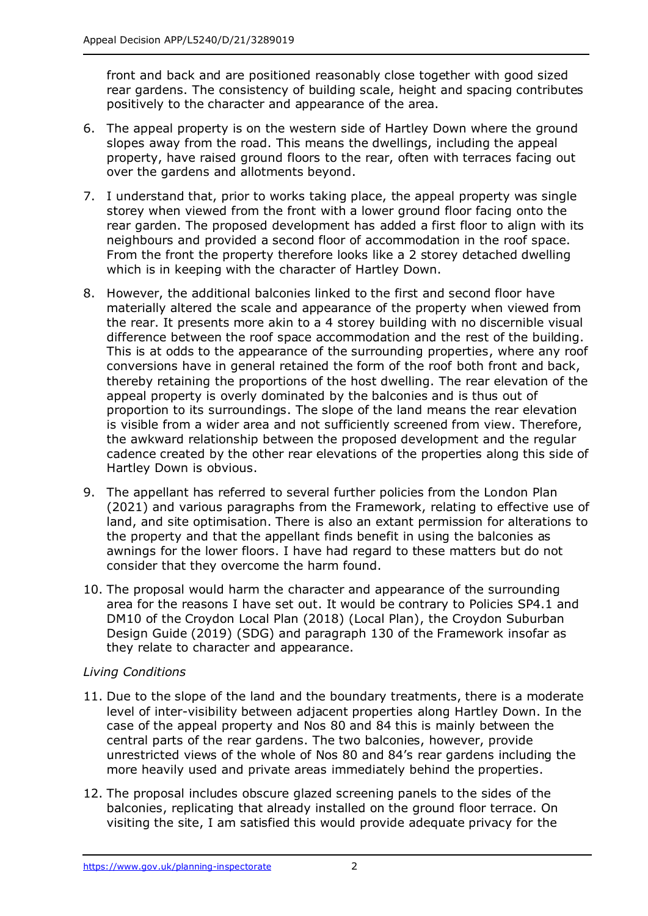front and back and are positioned reasonably close together with good sized rear gardens. The consistency of building scale, height and spacing contributes positively to the character and appearance of the area.

- 6. The appeal property is on the western side of Hartley Down where the ground slopes away from the road. This means the dwellings, including the appeal property, have raised ground floors to the rear, often with terraces facing out over the gardens and allotments beyond.
- 7. I understand that, prior to works taking place, the appeal property was single storey when viewed from the front with a lower ground floor facing onto the rear garden. The proposed development has added a first floor to align with its neighbours and provided a second floor of accommodation in the roof space. From the front the property therefore looks like a 2 storey detached dwelling which is in keeping with the character of Hartley Down.
- 8. However, the additional balconies linked to the first and second floor have materially altered the scale and appearance of the property when viewed from the rear. It presents more akin to a 4 storey building with no discernible visual difference between the roof space accommodation and the rest of the building. This is at odds to the appearance of the surrounding properties, where any roof conversions have in general retained the form of the roof both front and back, thereby retaining the proportions of the host dwelling. The rear elevation of the appeal property is overly dominated by the balconies and is thus out of proportion to its surroundings. The slope of the land means the rear elevation is visible from a wider area and not sufficiently screened from view. Therefore, the awkward relationship between the proposed development and the regular cadence created by the other rear elevations of the properties along this side of Hartley Down is obvious.
- 9. The appellant has referred to several further policies from the London Plan (2021) and various paragraphs from the Framework, relating to effective use of land, and site optimisation. There is also an extant permission for alterations to the property and that the appellant finds benefit in using the balconies as awnings for the lower floors. I have had regard to these matters but do not consider that they overcome the harm found.
- 10. The proposal would harm the character and appearance of the surrounding area for the reasons I have set out. It would be contrary to Policies SP4.1 and DM10 of the Croydon Local Plan (2018) (Local Plan), the Croydon Suburban Design Guide (2019) (SDG) and paragraph 130 of the Framework insofar as they relate to character and appearance.

# *Living Conditions*

- 11. Due to the slope of the land and the boundary treatments, there is a moderate level of inter-visibility between adjacent properties along Hartley Down. In the case of the appeal property and Nos 80 and 84 this is mainly between the central parts of the rear gardens. The two balconies, however, provide unrestricted views of the whole of Nos 80 and 84's rear gardens including the more heavily used and private areas immediately behind the properties.
- 12. The proposal includes obscure glazed screening panels to the sides of the balconies, replicating that already installed on the ground floor terrace. On visiting the site, I am satisfied this would provide adequate privacy for the